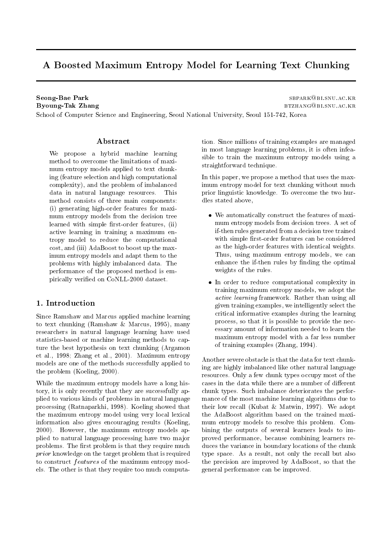# A Boosted Maximum Entropy Model for Learning Text Chunking

**Seong-Bae Park Byoung-Tak Zhang** 

SBPARK@BI.SNU.AC.KR BTZHANG@BLSNU.AC.KR

School of Computer Science and Engineering, Seoul National University, Seoul 151-742, Korea

### Abstract

We propose a hybrid machine learning method to overcome the limitations of maximum entropy models applied to text chunking (feature selection and high computational complexity), and the problem of imbalanced data in natural language resources. This method consists of three main components: (i) generating high-order features for maximum entropy models from the decision tree learned with simple first-order features, (ii) active learning in training a maximum entropy model to reduce the computational cost, and (iii) AdaBoost to boost up the maximum entropy models and adapt them to the problems with highly imbalanced data. The performance of the proposed method is empirically verified on CoNLL-2000 dataset.

## 1. Introduction

Since Ramshaw and Marcus applied machine learning to text chunking (Ramshaw & Marcus, 1995), many researchers in natural language learning have used statistics-based or machine learning methods to capture the best hypothesis on text chunking (Argamon et al., 1998; Zhang et al., 2001). Maximum entropy models are one of the methods successfully applied to the problem (Koeling, 2000).

While the maximum entropy models have a long history, it is only recently that they are successfully applied to various kinds of problems in natural language processing (Ratnaparkhi, 1998). Koeling showed that the maximum entropy model using very local lexical information also gives encouraging results (Koeling, 2000). However, the maximum entropy models applied to natural language processing have two major problems. The first problem is that they require much prior knowledge on the target problem that is required to construct *features* of the maximum entropy models. The other is that they require too much computa-

tion. Since millions of training examples are managed in most language learning problems, it is often infeasible to train the maximum entropy models using a straightforward technique.

In this paper, we propose a method that uses the maximum entropy model for text chunking without much prior linguistic knowledge. To overcome the two hurdles stated above,

- We automatically construct the features of maximum entropy models from decision trees. A set of if-then rules generated from a decision tree trained with simple first-order features can be considered as the high-order features with identical weights. Thus, using maximum entropy models, we can enhance the if-then rules by finding the optimal weights of the rules.
- In order to reduce computational complexity in training maximum entropy models, we adopt the active learning framework. Rather than using all given training examples, we intelligently select the critical informative examples during the learning process, so that it is possible to provide the necessary amount of information needed to learn the maximum entropy model with a far less number of training examples (Zhang, 1994).

Another severe obstacle is that the data for text chunking are highly imbalanced like other natural language resources. Only a few chunk types occupy most of the cases in the data while there are a number of different chunk types. Such imbalance deteriorates the performance of the most machine learning algorithms due to their low recall (Kubat & Matwin, 1997). We adopt the AdaBoost algorithm based on the trained maximum entropy models to resolve this problem. Combining the outputs of several learners leads to improved performance, because combining learners reduces the variance in boundary locations of the chunk type space. As a result, not only the recall but also the precision are improved by AdaBoost, so that the general performance can be improved.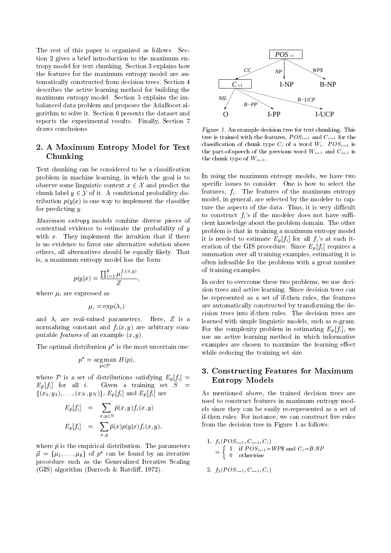The rest of this paper is organized as follows. Section 2 gives a brief introduction to the maximum entropy model for text chunking. Section 3 explains how the features for the maximum entropy model are automatically constructed from decision trees. Section 4 describes the active learning method for building the maximum entropy model. Section 5 explains the imbalanced data problem and proposes the AdaBoost algorithm to solve it. Section 6 presents the dataset and reports the experimental results. Finally, Section 7 draws conclusions.

# 2. A Maximum Entropy Model for Text Chunking

Text chunking can be considered to be a classification problem in machine learning, in which the goal is to observe some linguistic context  $x \in \mathcal{X}$  and predict the chunk label  $y \in \mathcal{Y}$  of it. A conditional probability distribution  $p(y|x)$  is one way to implement the classifier for predicting y.

*Maximum entropy* models combine diverse pieces of contextual evidence to estimate the probability of  $y$ with  $x$ . They implement the intuition that if there is no evidence to favor one alternative solution above others, all alternatives should be equally likely. That is, a maximum entropy model has the form:

$$
p(y|x) = \frac{\prod_{i=1}^k \mu_i^{f_i(x,y)}}{Z},
$$

where  $\mu_i$  are expressed as

$$
\mu_i = \exp(\lambda_i)
$$

and  $\lambda_i$  are real-valued parameters. Here,  $Z$  is a normalizing constant and  $f_i(x, y)$  are arbitrary computable *features* of an example  $(x, y)$ .

The optimal distribution  $p^*$  is the most uncertain one:

$$
p^* = \underset{p \in \mathcal{P}}{\text{arg}\max} \ H(p),
$$

where P is a set of distributions satisfying  $E_p[f_i] =$  $E_{\bar{p}}[f_i]$  for all *i*. Given a training set  $S =$  $\{(x_1, y_1), \ldots, (x_N, y_N)\}\, E_p[f_i]$  and  $E_{\bar{p}}[f_i]$  are

$$
E_{\tilde{p}}[f_i] = \sum_{x,y \in S} \tilde{p}(x,y) f_i(x,y)
$$

$$
E_p[f_i] = \sum_{x,y} \tilde{p}(x) p(y|x) f_i(x,y),
$$

where  $\tilde{p}$  is the empirical distribution. The parameters  $\vec{\mu} = {\mu_1, \ldots, \mu_k}$  of  $p^*$  can be found by an iterative procedure such as the Generalized Iterative Scaling (GIS) algorithm (Darroch & Ratcliff, 1972).



Figure 1. An example decision tree for text chunking. This tree is trained with the features,  $POS_{i-1}$  and  $C_{i-1}$  for the classification of chunk type  $C_i$  of a word  $W_i$ .  $POS_{i-1}$  is the part-of-speech of the previous word  $W_{i-1}$  and  $C_{i-1}$  is the chunk type of  $W_{i-1}$ .

In using the maximum entropy models, we have two specific issues to consider. One is how to select the features,  $f_i$ . The features of the maximum entropy model, in general, are selected by the modeler to capture the aspects of the data. Thus, it is very difficult to construct  $f_i$ 's if the modeler does not have sufficient knowledge about the problem domain. The other problem is that in training a maximum entropy model it is needed to estimate  $E_p[f_i]$  for all  $f_i$ 's at each iteration of the GIS procedure. Since  $E_p[f_i]$  requires a summation over all training examples, estimating it is often infeasible for the problems with a great number of training examples.

In order to overcome these two problems, we use decision trees and active learning. Since decision trees can be represented as a set of if-then rules, the features are automatically constructed by transforming the decision trees into if-then rules. The decision trees are learned with simple linguistic models, such as  $n$ -gram. For the complexity problem in estimating  $E_p[f_i]$ , we use an active learning method in which informative examples are chosen to maximize the learning effect while reducing the training set size.

## 3. Constructing Features for Maximum **Entropy Models**

As mentioned above, the trained decision trees are used to construct features in maximum entropy models since they can be easily re-represented as a set of if-then rules. For instance, we can construct five rules from the decision tree in Figure 1 as follows:

1. 
$$
f_1(POS_{i-1}, C_{i-1}, C_i)
$$
  
= 
$$
\begin{cases} 1 & \text{if } POS_{i-1} = WP\$ \text{ and } C_i = B\text{-}NP \\ 0 & \text{otherwise} \end{cases}
$$

2. 
$$
f_2(POS_{i-1}, C_{i-1}, C_i)
$$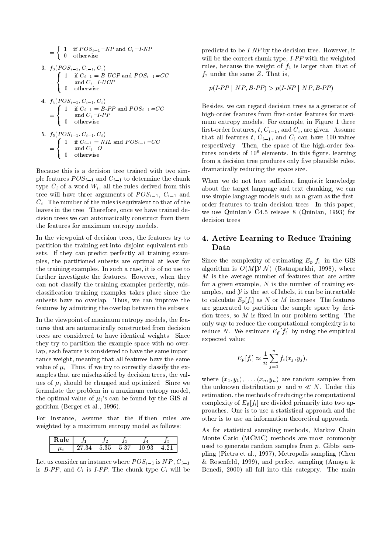$$
= \begin{cases}\n1 & \text{if } POS_{i-1} = NP \text{ and } C_i = I-NP \\
0 & \text{otherwise}\n\end{cases}
$$
\n3.  $f_3(POS_{i-1}, C_{i-1}, C_i)$   
\n
$$
= \begin{cases}\n1 & \text{if } C_{i-1} = B \cdot UCP \text{ and } POS_{i-1} = CC \\
0 & \text{otherwise}\n\end{cases}
$$
\n4.  $f_4(POS_{i-1}, C_{i-1}, C_i)$   
\n
$$
= \begin{cases}\n1 & \text{if } C_{i-1} = B \cdot PP \text{ and } POS_{i-1} = CC \\
0 & \text{otherwise}\n\end{cases}
$$
\n5.  $f_5(POS_{i-1}, C_{i-1}, C_i)$   
\n
$$
= \begin{cases}\n1 & \text{if } C_{i-1} = NIL \text{ and } POS_{i-1} = CC \\
0 & \text{otherwise}\n\end{cases}
$$
\n6.  $f_5(POS_{i-1}, C_{i-1}, C_i)$   
\n
$$
= \begin{cases}\n1 & \text{if } C_{i-1} = NIL \text{ and } POS_{i-1} = CC \\
0 & \text{otherwise}\n\end{cases}
$$

Because this is a decision tree trained with two simple features  $POS_{i-1}$  and  $C_{i-1}$  to determine the chunk type  $C_i$  of a word  $W_i$ , all the rules derived from this tree will have three arguments of  $POS_{i-1}$ ,  $C_{i-1}$  and  $C_i$ . The number of the rules is equivalent to that of the leaves in the tree. Therefore, once we have trained decision trees we can automatically construct from them the features for maximum entropy models.

In the viewpoint of decision trees, the features try to partition the training set into disjoint equivalent subsets. If they can predict perfectly all training examples, the partitioned subsets are optimal at least for the training examples. In such a case, it is of no use to further investigate the features. However, when they can not classify the training examples perfectly, misclassification training examples takes place since the subsets have no overlap. Thus, we can improve the features by admitting the overlap between the subsets.

In the viewpoint of maximum entropy models, the features that are automatically constructed from decision trees are considered to have identical weights. Since they try to partition the example space with no overlap, each feature is considered to have the same importance weight, meaning that all features have the same value of  $\mu_i$ . Thus, if we try to correctly classify the examples that are misclassified by decision trees, the values of  $\mu_i$  should be changed and optimized. Since we formulate the problem in a maximum entropy model, the optimal value of  $\mu_i$ 's can be found by the GIS algorithm (Berger et al., 1996).

For instance, assume that the if-then rules are weighted by a maximum entropy model as follows:

| $\bullet$ |   |           | ں. | A      | ٠<br>۰. |
|-----------|---|-----------|----|--------|---------|
| $\mu_{l}$ | ▵ | .<br>ບ ບບ | ິ  | ິ<br>u |         |

Let us consider an instance where  $POS_{i-1}$  is  $NP, C_{i-1}$ is  $B$ -PP, and  $C_i$  is I-PP. The chunk type  $C_i$  will be

predicted to be I-NP by the decision tree. However, it will be the correct chunk type,  $I$ - $PP$  with the weighted rules, because the weight of  $f_4$  is larger than that of  $f_2$  under the same Z. That is,

$$
p(I-PP \mid NP, B-PP) > p(I-NP \mid NP, B-PP).
$$

Besides, we can regard decision trees as a generator of high-order features from first-order features for maximum entropy models. For example, in Figure 1 three first-order features,  $t, C_{i-1}$ , and  $C_i$ , are given. Assume that all features t,  $C_{i-1}$ , and  $C_i$  can have 100 values respectively. Then, the space of the high-order features consists of  $10^6$  elements. In this figure, learning from a decision tree produces only five plausible rules, dramatically reducing the space size.

When we do not have sufficient linguistic knowledge about the target language and text chunking, we can use simple language models such as  $n$ -gram as the firstorder features to train decision trees. In this paper, we use Quinlan's C4.5 release 8 (Quinlan, 1993) for decision trees.

## 4. Active Learning to Reduce Training Data

Since the complexity of estimating  $E_p[f_i]$  in the GIS algorithm is  $O(M|\mathcal{Y}|\mathcal{N})$  (Ratnaparkhi, 1998), where  $M$  is the average number of features that are active for a given example,  $N$  is the number of training examples, and  $\mathcal Y$  is the set of labels, it can be intractable to calculate  $E_n[f_i]$  as N or M increases. The features are generated to partition the sample space by decision trees, so  $M$  is fixed in our problem setting. The only way to reduce the computational complexity is to reduce N. We estimate  $E_{\bar{p}}[f_i]$  by using the empirical expected value:

$$
E_{\bar{p}}[f_i] \approx \frac{1}{n} \sum_{j=1}^n f_i(x_j, y_j),
$$

where  $(x_1, y_1), \ldots, (x_n, y_n)$  are random samples from the unknown distribution p and  $n \ll N$ . Under this estimation, the methods of reducing the computational complexity of  $E_{\bar{p}}[f_i]$  are divided primarily into two approaches. One is to use a statistical approach and the other is to use an information theoretical approach.

As for statistical sampling methods, Markov Chain Monte Carlo (MCMC) methods are most commonly used to generate random samples from  $p$ . Gibbs sampling (Pietra et al., 1997), Metropolis sampling (Chen & Rosenfeld, 1999), and perfect sampling (Amaya  $\&$ Benedi, 2000) all fall into this category. The main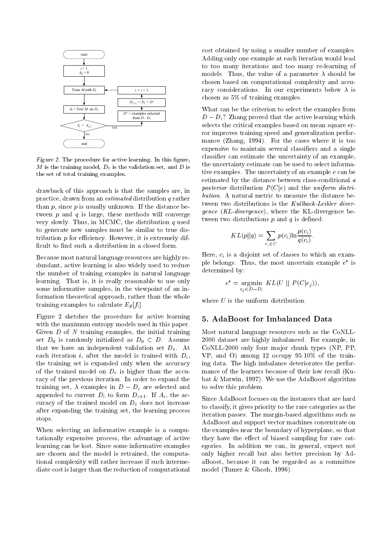

Figure 2. The procedure for active learning. In this figure, M is the training model,  $D_v$  is the validation set, and D is the set of total training examples.

drawback of this approach is that the samples are, in practice, drawn from an *estimated* distribution  $q$  rather than  $p$ , since  $p$  is usually unknown. If the distance between  $p$  and  $q$  is large, these methods will converge very slowly. Thus, in MCMC, the distribution  $q$  used to generate new samples must be similar to true distribution  $p$  for efficiency. However, it is extremely difficult to find such a distribution in a closed form.

Because most natural language resources are highly redundant, active learning is also widely used to reduce the number of training examples in natural language learning. That is, it is really reasonable to use only some informative samples, in the viewpoint of an information theoretical approach, rather than the whole training examples to calculate  $E_{\bar{p}}[f_i].$ 

Figure 2 sketches the procedure for active learning with the maximum entropy models used in this paper. Given  $D$  of  $N$  training examples, the initial training set  $D_0$  is randomly initialized as  $D_0 \subset D$ . Assume that we have an independent validation set  $D_v$ . At each iteration i, after the model is trained with  $D_i$ , the training set is expanded only when the accuracy of the trained model on  $D_n$  is higher than the accuracy of the previous iteration. In order to expand the training set,  $\lambda$  examples in  $D - D_i$  are selected and appended to current  $D_i$  to form  $D_{i+1}$ . If  $A_i$ , the accuracy of the trained model on  $D<sub>v</sub>$  does not increase after expanding the training set, the learning process stops.

When selecting an informative example is a computationally expensive process, the advantage of active learning can be lost. Since some informative examples are chosen and the model is retrained, the computational complexity will rather increase if such intermediate cost is larger than the reduction of computational

cost obtained by using a smaller number of examples. Adding only one example at each iteration would lead to too many iterations and too many re-learning of models. Thus, the value of a parameter  $\lambda$  should be chosen based on computational complexity and accuracy considerations. In our experiments below  $\lambda$  is chosen as  $5\%$  of training examples.

What can be the criterion to select the examples from  $D - D_i$ ? Zhang proved that the active learning which selects the critical examples based on mean square error improves training speed and generalization performance (Zhang, 1994). For the cases where it is too expensive to maintain several classifiers and a single classifier can estimate the uncertainty of an example, the uncertainty estimate can be used to select informative examples. The uncertainty of an example  $e$  can be estimated by the distance between class-conditional a posterior distribution  $P(C|e)$  and the uniform distri*bution*. A natural metric to measure the distance between two distributions is the Kullback-Leibler divergence (KL-divergence), where the KL-divergence between two distributions  $p$  and  $q$  is defined:

$$
KL(p||q) = \sum_{c_i \in C} p(c_i) \ln \frac{p(c_i)}{q(c_i)}
$$

Here,  $c_i$  is a disjoint set of classes to which an example belongs. Thus, the most uncertain example  $e^*$  is determined by:

$$
e^* = \underset{e_j \in D-D_i}{\arg \min} KL(U \parallel P(C|e_j)),
$$

where  $U$  is the uniform distribution.

### 5. AdaBoost for Imbalanced Data

Most natural language resources such as the CoNLL-2000 dataset are highly imbalanced. For example, in CoNLL-2000 only four major chunk types (NP, PP, VP, and O) among 12 occupy 95.10% of the training data. The high imbalance deteriorates the performance of the learners because of their low recall (Kubat & Matwin, 1997). We use the AdaBoost algorithm to solve this problem.

Since AdaBoost focuses on the instances that are hard to classify, it gives priority to the rare categories as the iteration passes. The margin-based algorithms such as AdaBoost and support vector machines concentrate on the examples near the boundary of hyperplane, so that they have the effect of biased sampling for rare categories. In addition we can, in general, expect not only higher recall but also better precision by AdaBoost, because it can be regarded as a committee model (Tumer  $&$  Ghosh, 1996).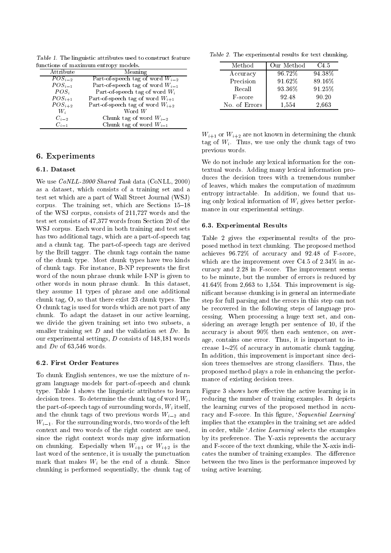Table 1. The linguistic attributes used to construct feature functions of maximum entropy models.

|             | τ.                                   |
|-------------|--------------------------------------|
| Attribute   | Meaning                              |
| $POS_{i-2}$ | Part-of-speech tag of word $W_{i-2}$ |
| $POS_{i-1}$ | Part-of-speech tag of word $W_{i-1}$ |
| $POS_i$     | Part-of-speech tag of word $W_i$     |
| $POS_{i+1}$ | Part-of-speech tag of word $W_{i+1}$ |
| $POS_{i+2}$ | Part-of-speech tag of word $W_{i+2}$ |
| $W_i$       | Word $W$                             |
| $C_{i-2}$   | Chunk tag of word $W_{i-2}$          |
| $C_{i-1}$   | Chunk tag of word $W_{i-1}$          |
|             |                                      |

### 6. Experiments

#### 6.1. Dataset

We use CoNLL-2000 Shared Task data (CoNLL, 2000) as a dataset, which consists of a training set and a test set which are a part of Wall Street Journal (WSJ) corpus. The training set, which are Sections 15-18 of the WSJ corpus, consists of 211,727 words and the test set consists of 47,377 words from Section 20 of the WSJ corpus. Each word in both training and test sets has two additional tags, which are a part-of-speech tag and a chunk tag. The part-of-speech tags are derived by the Brill tagger. The chunk tags contain the name of the chunk type. Most chunk types have two kinds of chunk tags. For instance, B-NP represents the first word of the noun phrase chunk while I-NP is given to other words in noun phrase chunk. In this dataset, they assume 11 types of phrase and one additional chunk tag, O, so that there exist 23 chunk types. The O chunk tag is used for words which are not part of any chunk. To adapt the dataset in our active learning, we divide the given training set into two subsets, a smaller training set  $D$  and the validation set  $Dv$ . In our experimental settings,  $D$  consists of 148,181 words and  $Dv$  of 63,546 words.

#### 6.2. First Order Features

To chunk English sentences, we use the mixture of  $n$ gram language models for part-of-speech and chunk type. Table 1 shows the linguistic attributes to learn decision trees. To determine the chunk tag of word  $W_i$ , the part-of-speech tags of surrounding words,  $W_i$  itself, and the chunk tags of two previous words  $W_{i-2}$  and  $W_{i-1}$ . For the surrounding words, two words of the left context and two words of the right context are used, since the right context words may give information on chunking. Especially when  $W_{i+1}$  or  $W_{i+2}$  is the last word of the sentence, it is usually the punctuation mark that makes  $W_i$  be the end of a chunk. Since chunking is performed sequentially, the chunk tag of

Table 2. The experimental results for text chunking.

| Method        | Our Method | C4.5   |
|---------------|------------|--------|
| Accuracy      | 96.72%     | 94.38% |
| Precision     | 91.62%     | 89.16% |
| Recall        | 93.36%     | 91.25% |
| F-score       | 92.48      | 90.20  |
| No. of Errors | 1,554      | 2,663  |

|                 |  |  |  | $W_{i+1}$ or $W_{i+2}$ are not known in determining the chunk |  |  |
|-----------------|--|--|--|---------------------------------------------------------------|--|--|
|                 |  |  |  | tag of $W_i$ . Thus, we use only the chunk tags of two        |  |  |
| previous words. |  |  |  |                                                               |  |  |

We do not include any lexical information for the contextual words. Adding many lexical information produces the decision trees with a tremendous number of leaves, which makes the computation of maximum entropy intractable. In addition, we found that using only lexical information of  $W_i$  gives better performance in our experimental settings.

#### 6.3. Experimental Results

Table 2 gives the experimental results of the proposed method in text chunking. The proposed method achieves 96.72% of accuracy and 92.48 of F-score, which are the improvement over C4.5 of  $2.34\%$  in accuracy and 2.28 in F-score. The improvement seems to be minute, but the number of errors is reduced by  $41.64\%$  from 2,663 to 1,554. This improvement is significant because chunking is in general an intermediate step for full parsing and the errors in this step can not be recovered in the following steps of language processing. When processing a huge text set, and considering an average length per sentence of 10, if the accuracy is about 90% then each sentence, on average, contains one error. Thus, it is important to increase  $1 \sim 2\%$  of accuracy in automatic chunk tagging. In addition, this improvement is important since decision trees themselves are strong classifiers. Thus, the proposed method plays a role in enhancing the performance of existing decision trees.

Figure 3 shows how effective the active learning is in reducing the number of training examples. It depicts the learning curves of the proposed method in accuracy and F-score. In this figure, 'Sequential Learning' implies that the examples in the training set are added in order, while 'Active Learning' selects the examples by its preference. The Y-axis represents the accuracy and F-score of the text chunking, while the X-axis indicates the number of training examples. The difference between the two lines is the performance improved by using active learning.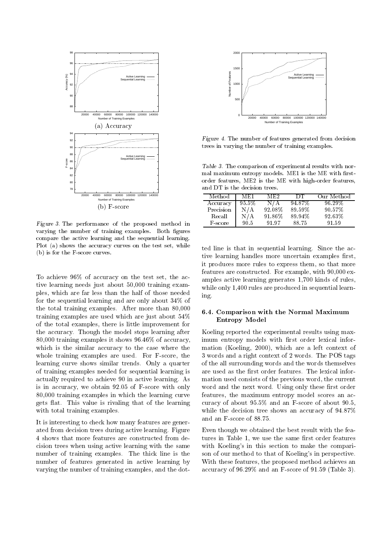

- gais of the periodicate of the proposed include in varying the number of training examples. Both figures -- - -- --  $\mathbf{r}$  for  $\mathbf{w}_l$  shows the accuracy carves on the test set, while  $\mathbf{r}_{l+1}$  $(b)$  is for the F-score curves.

. The state of the state of the state of the state of the state of the state of the state of the state of the state of the state of the state of the state of the state of the state of the state of the state of the state o . The contract of the contract of the contract of the contract of the contract of the contract of the contract of the contract of the contract of the contract of the contract of the contract of the contract of the contrac  \*- 
 
      9  

 " >J the total training examples. After more than  $80,000$  $\sim$  . The second property where  $\sim$  is the second power construction of  $\sim$  . The second second second second second second second second second second second second second second second second second second second sec of the total examples, there is little improvement for ene accuracy, Inough the mouth biops fourning area. The 4//// 
 #  \* 3?'?J -- -  $\mathbb{R}^n$  . The contract of the contract of the contract of the contract of the contract of the contract of the contract of the contract of the contract of the contract of the contract of the contract of the contract of  $\frac{1}{2}$  and  $\frac{1}{2}$   $\frac{1}{2}$  and  $\frac{1}{2}$  and  $\frac{1}{2}$  and  $\frac{1}{2}$  and  $\frac{1}{2}$  and  $\frac{1}{2}$  and  $\frac{1}{2}$  and  $\frac{1}{2}$  and  $\frac{1}{2}$  and  $\frac{1}{2}$  and  $\frac{1}{2}$  and  $\frac{1}{2}$  and  $\frac{1}{2}$  and  $\frac{1}{2}$  and  $\alpha$  ,  $\alpha$  ,  $\alpha$  ,  $\alpha$  ,  $\alpha$  ,  $\alpha$  ,  $\alpha$  ,  $\alpha$  ,  $\alpha$  ,  $\alpha$  ,  $\alpha$  ,  $\alpha$  ,  $\alpha$  ,  $\alpha$  ,  $\alpha$  ,  $\alpha$  ,  $\alpha$  ,  $\alpha$  ,  $\alpha$  ,  $\alpha$  ,  $\alpha$  ,  $\alpha$  ,  $\alpha$  ,  $\alpha$  ,  $\alpha$  ,  $\alpha$  ,  $\alpha$  ,  $\alpha$  ,  $\alpha$  ,  $\alpha$  ,  $\alpha$  ,  $\alpha$  $\sim$  . The contraction of the contract of the contract of the contract of the contract of the contract of the contract of the contract of the contract of the contract of the contract of the contract of the contract of the  $\alpha$  . The set is a set in the set in the set of  $\alpha$  in the set of  $\alpha$  $\omega$  in accuracy, we obtain  $\sigma\omega$  or i becker while only word 4//// 
 #  \*-  
 -  $\mathcal{R}^{\text{cusp}}$  from the value to from the content of the resulting  $\mathcal{R}^{\text{cusp}}$ with total training examples.

: 
 --\$ \*   
   $\alpha$  . The construction of  $\alpha$  is the contract of  $\alpha$  in  $\alpha$ - 
 \* - 
 \*    $\text{maxmax}$  of creating exemption. The enter mic to end about "   
 -  "  "

 #  



Figure 4. The number of features generated from decision trees in varying the number of training examples.

 $\pm$  abic of  $\pm$  incredibility and  $\pm$  components are the country when here  $\pm$  - 
  (/  (/  order features, ME2 is the ME with high-order features,  $\alpha$  is a new consider the contract of  $\alpha$  is  $\alpha$  . The contract of  $\alpha$  is  $\alpha$  is  $\alpha$  is  $\alpha$  is  $\alpha$  is  $\alpha$  is  $\alpha$  is  $\alpha$  is  $\alpha$  is  $\alpha$  is  $\alpha$  is  $\alpha$  is  $\alpha$  is  $\alpha$  is  $\alpha$  is  $\alpha$  is  $\alpha$  is  $\alpha$  is  $\alpha$  is

| Method    | ME 1     | ME2    | DТ     | Our Method |
|-----------|----------|--------|--------|------------|
| Accuracy  | $95.5\%$ | N / A  | 94.87% | 96.29%     |
| Precision | N/A      | 92.08% | 89.59% | 90.57%     |
| Recall    | N/A      | 91.86% | 89.94% | 92.63%     |
| F-score   | 90.5     | 91.97  | 88.75  | 91.59      |

amples active learning generates  $1,700$  kinds of rules,   9   ' -  - . The contract of the contract of the contract of the contract of the contract of the contract of the contract of the contract of the contract of the contract of the contract of the contract of the contract of the contrac - 
  # 
  
  $\mathbf{r}$  and  $\mathbf{r}$  control deceded  $\mathbf{r}$  . The set of  $\mathbf{r}$  and  $\mathbf{r}$  and  $\mathbf{r}$  are  $\mathbf{r}$  $\sim$  2000  $\sim$  2000  $\sim$  2000  $\sim$  2000  $\sim$  9000  $\sim$  9000  $\sim$  9000  $\sim$  9000  $\sim$  9000  $\sim$  9000  $\sim$ ing.

#### $6.4.$  Comparison with the Normal Maximum  $\rm Entropy\ Model$

    # 
  - es a corresponding to the contract of the corresponding to the corresponding the corresponding to the contract of the contract of the contract of the contract of the contract of the contract of the contract of the contract 
  \* +  #-  $\mathcal{N}$  , and  $\mathcal{N}$  and  $\mathcal{N}$  and  $\mathcal{N}$  . The set of the set of the set of the set of the set of the set of the set of the set of the set of the set of the set of the set of the set of the set of the set of the  $\sigma$  we all a right contain of  $\blacksquare$  weight. The r op tags  \*
  \*
   $\alpha$  , about any throw of a criteria control. If the restriction interference in  $\ldots$  . The contraction of the protromation with  $\sim$ word and the next word. Using only these first order  $\alpha$  . The contract of the contract of  $\alpha$  is a  $\alpha$  in  $\alpha$  is  $\alpha$  is  $\alpha$  is  $\alpha$  is  $\alpha$  is  $\alpha$  is  $\alpha$  is a set of  $\alpha$  is  $\alpha$  is a set of  $\alpha$  is a set of  $\alpha$  is a set of  $\alpha$  is a set of  $\alpha$  is a set of  $\alpha$  i where the decision tree shows an accuracy of  $\sigma_{10}$  //  $\frac{1}{2}$  and  $\frac{1}{2}$  boote of ooter  $\frac{1}{2}$ 

  \* "  " 
 \*    (" \*    +

  \* G - \$  -  $\sim$  . The contraction to the structure in perpeture  $\sim$ !     
   -  $\alpha$  . The set of  $\alpha$  is the set of  $\alpha$  is the set of  $\alpha$  is the set of  $\alpha$  is the set of  $\alpha$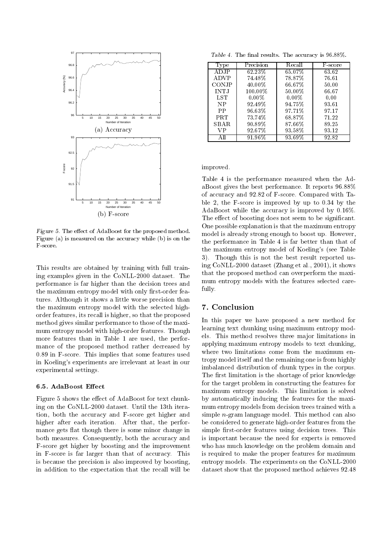

Figure 5. The effect of AdaBoost for the proposed method. Figure (a) is measured on the accuracy while (b) is on the F-score

This results are obtained by training with full training examples given in the CoNLL-2000 dataset. The performance is far higher than the decision trees and the maximum entropy model with only first-order features. Although it shows a little worse precision than the maximum entropy model with the selected highorder features, its recall is higher, so that the proposed method gives similar performance to those of the maximum entropy model with high-order features. Though more features than in Table 1 are used, the performance of the proposed method rather decreased by 0.89 in F-score. This implies that some features used in Koeling's experiments are irrelevant at least in our experimental settings.

#### 6.5. AdaBoost Effect

Figure 5 shows the effect of AdaBoost for text chunking on the CoNLL-2000 dataset. Until the 13th iteration, both the accuracy and F-score get higher and higher after each iteration. After that, the performance gets flat though there is some minor change in both measures. Consequently, both the accuracy and F-score get higher by boosting and the improvement in F-score is far larger than that of accuracy. This is because the precision is also improved by boosting, in addition to the expectation that the recall will be

Table 4. The final results. The accuracy is 96.88%.

| Type        | Precision            | Recall   | F-score |
|-------------|----------------------|----------|---------|
| A DJP       | 62.23%               | 65.07%   | 63.62   |
| ADVP        | 74.48%               | 78.87%   | 76.61   |
| CONJP       | 40.00%               | 66.67%   | 50.00   |
| <b>INTJ</b> | 100.00%              | 50.00%   | 66.67   |
| LST         | $0.00\%$             | $0.00\%$ | 0.00    |
| NP          | 92.49%               | 94.75%   | 93.61   |
| PP          | 96.63%               | 97.71%   | 97.17   |
| <b>PRT</b>  | 73.74%               | 68.87%   | 71.22   |
| SBAR.       | 90.89%               | 87.66%   | 89.25   |
| VP          | 92.67%               | 93.58%   | 93.12   |
|             | $\overline{9}1.96\%$ | 93.69%   | 92.82   |

improved.

Table 4 is the performance measured when the AdaBoost gives the best performance. It reports 96.88% of accuracy and 92.82 of F-score. Compared with Table 2, the  $F$ -score is improved by up to 0.34 by the AdaBoost while the accuracy is improved by 0.16%. The effect of boosting does not seem to be significant. One possible explanation is that the maximum entropy model is already strong enough to boost up. However, the performance in Table 4 is far better than that of the maximum entropy model of Koeling's (see Table 3). Though this is not the best result reported using CoNLL-2000 dataset (Zhang et al., 2001), it shows that the proposed method can overperform the maximum entropy models with the features selected carefully.

### 7. Conclusion

In this paper we have proposed a new method for learning text chunking using maximum entropy models. This method resolves three major limitations in applying maximum entropy models to text chunking, where two limitations come from the maximum entropy model itself and the remaining one is from highly imbalanced distribution of chunk types in the corpus. The first limitation is the shortage of prior knowledge for the target problem in constructing the features for maximum entropy models. This limitation is solved by automatically inducing the features for the maximum entropy models from decision trees trained with a simple  $n$ -gram language model. This method can also be considered to generate high-order features from the simple first-order features using decision trees. This is important because the need for experts is removed who has much knowledge on the problem domain and is required to make the proper features for maximum entropy models. The experiments on the CoNLL-2000 dataset show that the proposed method achieves 92.48